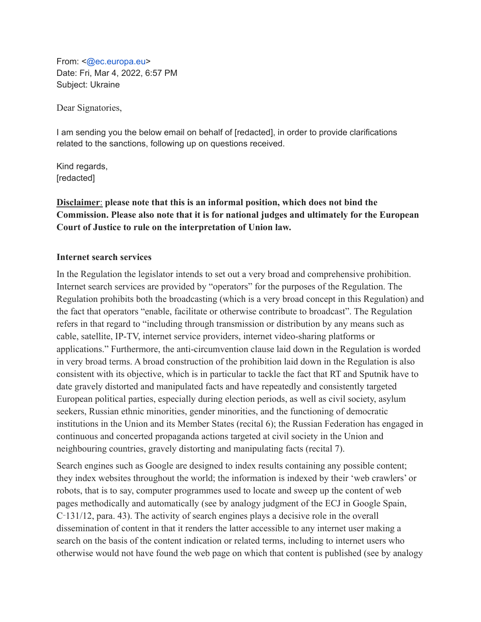From: <@ec.europa.eu> Date: Fri, Mar 4, 2022, 6:57 PM Subject: Ukraine

Dear Signatories,

I am sending you the below email on behalf of [redacted], in order to provide clarifications related to the sanctions, following up on questions received.

Kind regards, [redacted]

**Disclaimer**: **please note that this is an informal position, which does not bind the Commission. Please also note that it is for national judges and ultimately for the European Court of Justice to rule on the interpretation of Union law.**

## **Internet search services**

In the Regulation the legislator intends to set out a very broad and comprehensive prohibition. Internet search services are provided by "operators" for the purposes of the Regulation. The Regulation prohibits both the broadcasting (which is a very broad concept in this Regulation) and the fact that operators "enable, facilitate or otherwise contribute to broadcast". The Regulation refers in that regard to "including through transmission or distribution by any means such as cable, satellite, IP-TV, internet service providers, internet video-sharing platforms or applications." Furthermore, the anti-circumvention clause laid down in the Regulation is worded in very broad terms. A broad construction of the prohibition laid down in the Regulation is also consistent with its objective, which is in particular to tackle the fact that RT and Sputnik have to date gravely distorted and manipulated facts and have repeatedly and consistently targeted European political parties, especially during election periods, as well as civil society, asylum seekers, Russian ethnic minorities, gender minorities, and the functioning of democratic institutions in the Union and its Member States (recital 6); the Russian Federation has engaged in continuous and concerted propaganda actions targeted at civil society in the Union and neighbouring countries, gravely distorting and manipulating facts (recital 7).

Search engines such as Google are designed to index results containing any possible content; they index websites throughout the world; the information is indexed by their 'web crawlers' or robots, that is to say, computer programmes used to locate and sweep up the content of web pages methodically and automatically (see by analogy judgment of the ECJ in Google Spain, C‑131/12, para. 43). The activity of search engines plays a decisive role in the overall dissemination of content in that it renders the latter accessible to any internet user making a search on the basis of the content indication or related terms, including to internet users who otherwise would not have found the web page on which that content is published (see by analogy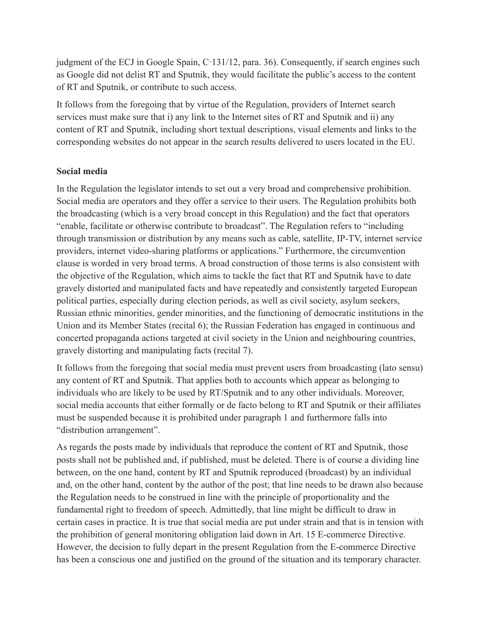judgment of the ECJ in Google Spain, C-131/12, para. 36). Consequently, if search engines such as Google did not delist RT and Sputnik, they would facilitate the public's access to the content of RT and Sputnik, or contribute to such access.

It follows from the foregoing that by virtue of the Regulation, providers of Internet search services must make sure that i) any link to the Internet sites of RT and Sputnik and ii) any content of RT and Sputnik, including short textual descriptions, visual elements and links to the corresponding websites do not appear in the search results delivered to users located in the EU.

## **Social media**

In the Regulation the legislator intends to set out a very broad and comprehensive prohibition. Social media are operators and they offer a service to their users. The Regulation prohibits both the broadcasting (which is a very broad concept in this Regulation) and the fact that operators "enable, facilitate or otherwise contribute to broadcast". The Regulation refers to "including through transmission or distribution by any means such as cable, satellite, IP-TV, internet service providers, internet video-sharing platforms or applications." Furthermore, the circumvention clause is worded in very broad terms. A broad construction of those terms is also consistent with the objective of the Regulation, which aims to tackle the fact that RT and Sputnik have to date gravely distorted and manipulated facts and have repeatedly and consistently targeted European political parties, especially during election periods, as well as civil society, asylum seekers, Russian ethnic minorities, gender minorities, and the functioning of democratic institutions in the Union and its Member States (recital 6); the Russian Federation has engaged in continuous and concerted propaganda actions targeted at civil society in the Union and neighbouring countries, gravely distorting and manipulating facts (recital 7).

It follows from the foregoing that social media must prevent users from broadcasting (lato sensu) any content of RT and Sputnik. That applies both to accounts which appear as belonging to individuals who are likely to be used by RT/Sputnik and to any other individuals. Moreover, social media accounts that either formally or de facto belong to RT and Sputnik or their affiliates must be suspended because it is prohibited under paragraph 1 and furthermore falls into "distribution arrangement".

As regards the posts made by individuals that reproduce the content of RT and Sputnik, those posts shall not be published and, if published, must be deleted. There is of course a dividing line between, on the one hand, content by RT and Sputnik reproduced (broadcast) by an individual and, on the other hand, content by the author of the post; that line needs to be drawn also because the Regulation needs to be construed in line with the principle of proportionality and the fundamental right to freedom of speech. Admittedly, that line might be difficult to draw in certain cases in practice. It is true that social media are put under strain and that is in tension with the prohibition of general monitoring obligation laid down in Art. 15 E-commerce Directive. However, the decision to fully depart in the present Regulation from the E-commerce Directive has been a conscious one and justified on the ground of the situation and its temporary character.